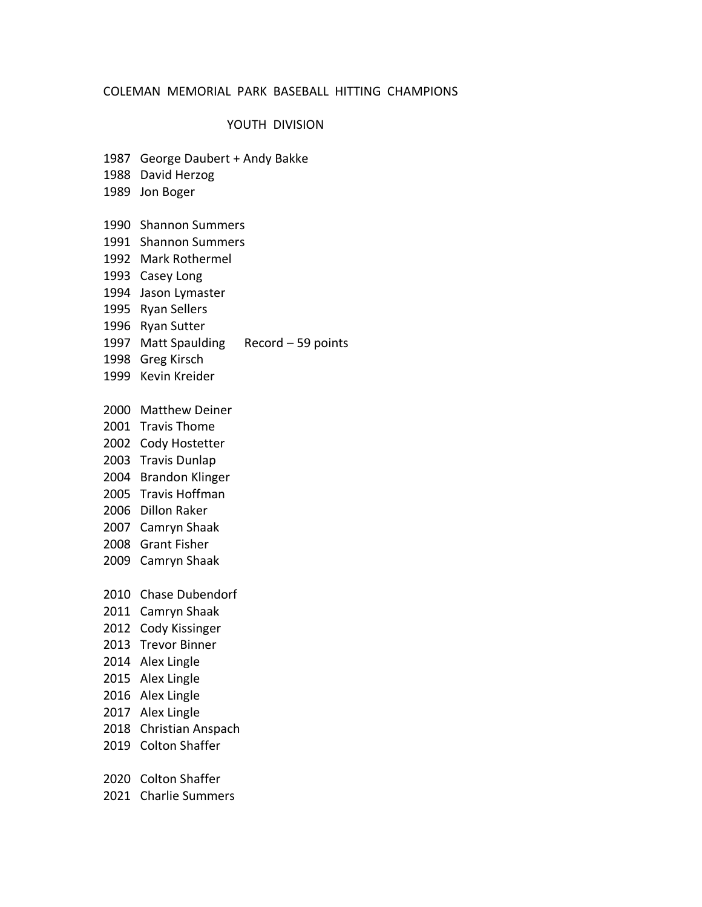### YOUTH DIVISION

- 1987 George Daubert + Andy Bakke
- 1988 David Herzog
- 1989 Jon Boger
- 1990 Shannon Summers
- 1991 Shannon Summers
- 1992 Mark Rothermel
- 1993 Casey Long
- 1994 Jason Lymaster
- 1995 Ryan Sellers
- 1996 Ryan Sutter
- 1997 Matt Spaulding Record 59 points
- 1998 Greg Kirsch
- 1999 Kevin Kreider
- 2000 Matthew Deiner
- 2001 Travis Thome
- 2002 Cody Hostetter
- 2003 Travis Dunlap
- 2004 Brandon Klinger
- 2005 Travis Hoffman
- 2006 Dillon Raker
- 2007 Camryn Shaak
- 2008 Grant Fisher
- 2009 Camryn Shaak
- 2010 Chase Dubendorf
- 2011 Camryn Shaak
- 2012 Cody Kissinger
- 2013 Trevor Binner
- 2014 Alex Lingle
- 2015 Alex Lingle
- 2016 Alex Lingle
- 2017 Alex Lingle
- 2018 Christian Anspach
- 2019 Colton Shaffer
- 2020 Colton Shaffer
- 2021 Charlie Summers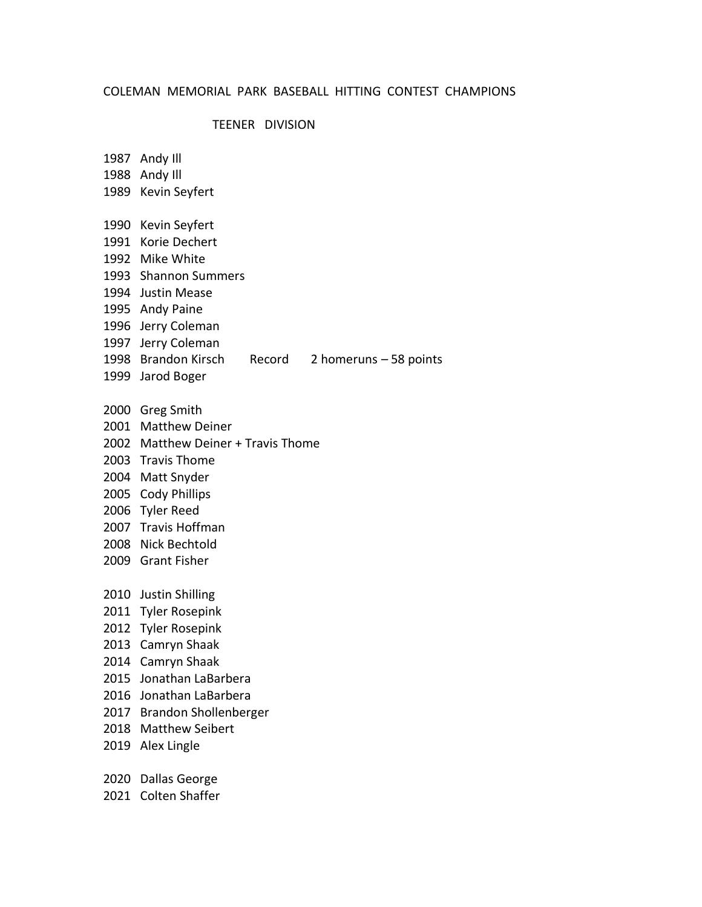### TEENER DIVISION

- 1987 Andy Ill
- 1988 Andy Ill
- 1989 Kevin Seyfert
- 1990 Kevin Seyfert
- 1991 Korie Dechert
- 1992 Mike White
- 1993 Shannon Summers
- 1994 Justin Mease
- 1995 Andy Paine
- 1996 Jerry Coleman
- 1997 Jerry Coleman
- 1998 Brandon Kirsch Record 2 homeruns 58 points
- 1999 Jarod Boger
- 
- 2000 Greg Smith
- 2001 Matthew Deiner
- 2002 Matthew Deiner + Travis Thome
- 2003 Travis Thome
- 2004 Matt Snyder
- 2005 Cody Phillips
- 2006 Tyler Reed
- 2007 Travis Hoffman
- 2008 Nick Bechtold
- 2009 Grant Fisher
- 2010 Justin Shilling
- 2011 Tyler Rosepink
- 2012 Tyler Rosepink
- 2013 Camryn Shaak
- 2014 Camryn Shaak
- 2015 Jonathan LaBarbera
- 2016 Jonathan LaBarbera
- 2017 Brandon Shollenberger
- 2018 Matthew Seibert
- 2019 Alex Lingle
- 2020 Dallas George
- 2021 Colten Shaffer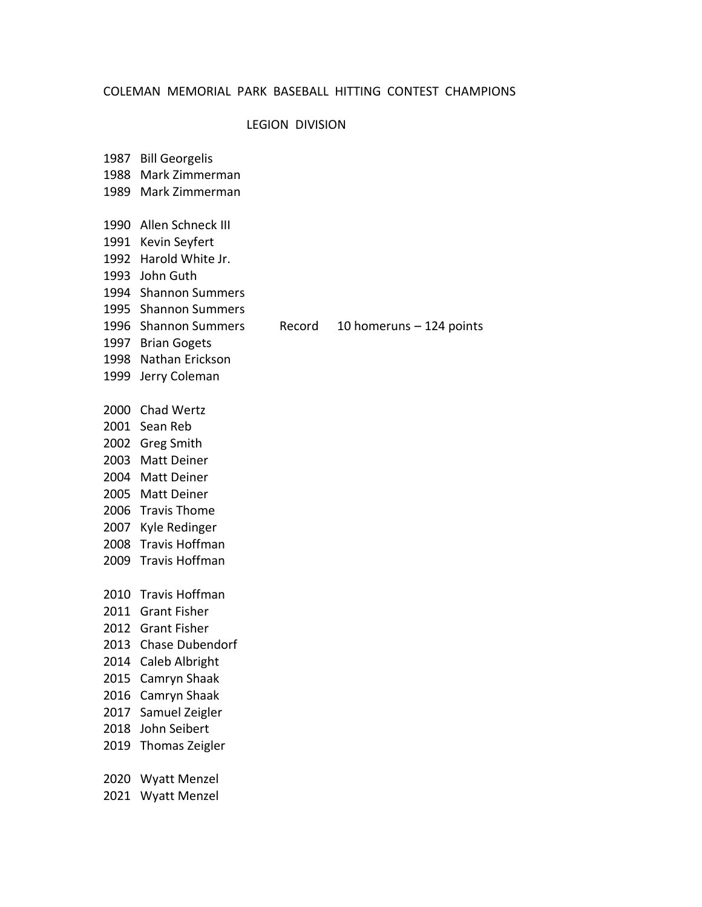### LEGION DIVISION

1987 Bill Georgelis 1988 Mark Zimmerman 1989 Mark Zimmerman 1990 Allen Schneck III 1991 Kevin Seyfert 1992 Harold White Jr. 1993 John Guth 1994 Shannon Summers 1995 Shannon Summers 1996 Shannon Summers Record 10 homeruns – 124 points 1997 Brian Gogets 1998 Nathan Erickson 1999 Jerry Coleman 2000 Chad Wertz 2001 Sean Reb 2002 Greg Smith 2003 Matt Deiner 2004 Matt Deiner 2005 Matt Deiner 2006 Travis Thome 2007 Kyle Redinger 2008 Travis Hoffman 2009 Travis Hoffman 2010 Travis Hoffman 2011 Grant Fisher 2012 Grant Fisher 2013 Chase Dubendorf 2014 Caleb Albright 2015 Camryn Shaak 2016 Camryn Shaak 2017 Samuel Zeigler 2018 John Seibert 2019 Thomas Zeigler 2020 Wyatt Menzel

2021 Wyatt Menzel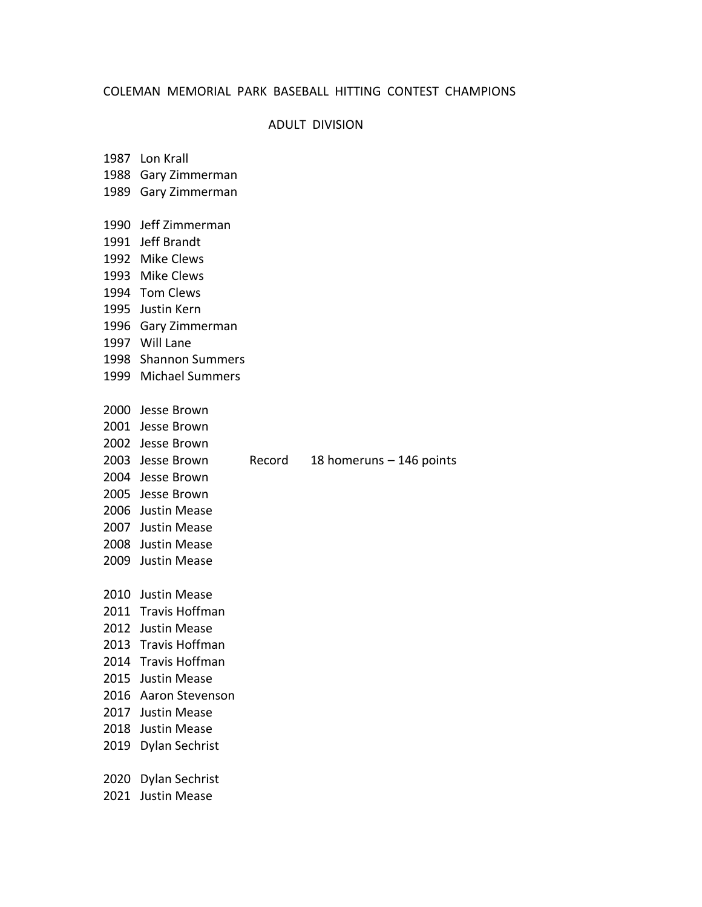## ADULT DIVISION

|      | 1987 Lon Krall        |        |                          |
|------|-----------------------|--------|--------------------------|
|      | 1988 Gary Zimmerman   |        |                          |
|      | 1989 Gary Zimmerman   |        |                          |
|      |                       |        |                          |
|      | 1990 Jeff Zimmerman   |        |                          |
|      | 1991 Jeff Brandt      |        |                          |
|      | 1992 Mike Clews       |        |                          |
|      | 1993 Mike Clews       |        |                          |
|      | 1994 Tom Clews        |        |                          |
|      | 1995 Justin Kern      |        |                          |
|      | 1996 Gary Zimmerman   |        |                          |
|      | 1997 Will Lane        |        |                          |
|      | 1998 Shannon Summers  |        |                          |
|      | 1999 Michael Summers  |        |                          |
|      | 2000 Jesse Brown      |        |                          |
|      | 2001 Jesse Brown      |        |                          |
|      | 2002 Jesse Brown      |        |                          |
|      | 2003 Jesse Brown      | Record | 18 homeruns – 146 points |
|      | 2004 Jesse Brown      |        |                          |
|      | 2005 Jesse Brown      |        |                          |
|      | 2006 Justin Mease     |        |                          |
|      | 2007 Justin Mease     |        |                          |
|      | 2008 Justin Mease     |        |                          |
|      | 2009 Justin Mease     |        |                          |
|      | 2010 Justin Mease     |        |                          |
|      | 2011 Travis Hoffman   |        |                          |
|      | 2012 Justin Mease     |        |                          |
|      | 2013 Travis Hoffman   |        |                          |
|      | 2014 Travis Hoffman   |        |                          |
|      | 2015 Justin Mease     |        |                          |
|      | 2016 Aaron Stevenson  |        |                          |
|      | 2017 Justin Mease     |        |                          |
| 2018 | Justin Mease          |        |                          |
|      | 2019 Dylan Sechrist   |        |                          |
|      |                       |        |                          |
| 2020 | <b>Dylan Sechrist</b> |        |                          |
| 2021 | <b>Justin Mease</b>   |        |                          |
|      |                       |        |                          |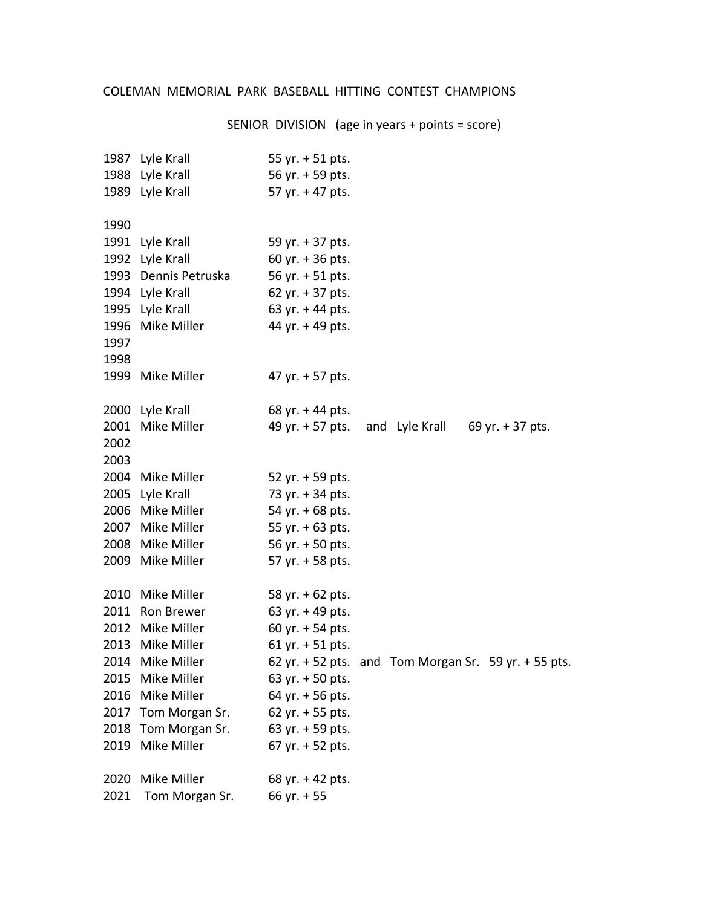SENIOR DIVISION (age in years + points = score)

|      | 1987 Lyle Krall<br>1988 Lyle Krall<br>1989 Lyle Krall | 55 yr. $+$ 51 pts.<br>56 yr. + 59 pts.<br>57 yr. + 47 pts. |  |                                                      |
|------|-------------------------------------------------------|------------------------------------------------------------|--|------------------------------------------------------|
| 1990 |                                                       |                                                            |  |                                                      |
|      | 1991 Lyle Krall                                       | 59 yr. + 37 pts.                                           |  |                                                      |
| 1992 | Lyle Krall                                            | 60 yr. $+36$ pts.                                          |  |                                                      |
|      | 1993 Dennis Petruska                                  | 56 yr. + 51 pts.                                           |  |                                                      |
|      | 1994 Lyle Krall                                       | 62 yr. $+37$ pts.                                          |  |                                                      |
|      | 1995 Lyle Krall                                       | 63 yr. $+$ 44 pts.                                         |  |                                                      |
| 1996 | Mike Miller                                           | 44 yr. + 49 pts.                                           |  |                                                      |
| 1997 |                                                       |                                                            |  |                                                      |
| 1998 |                                                       |                                                            |  |                                                      |
|      | 1999 Mike Miller                                      | 47 yr. + 57 pts.                                           |  |                                                      |
|      | 2000 Lyle Krall                                       | 68 yr. $+$ 44 pts.                                         |  |                                                      |
| 2001 | Mike Miller                                           | 49 yr. + 57 pts. and Lyle Krall                            |  | 69 yr. $+$ 37 pts.                                   |
| 2002 |                                                       |                                                            |  |                                                      |
| 2003 |                                                       |                                                            |  |                                                      |
|      | 2004 Mike Miller                                      | 52 yr. $+$ 59 pts.                                         |  |                                                      |
| 2005 | Lyle Krall                                            | 73 yr. + 34 pts.                                           |  |                                                      |
| 2006 | Mike Miller                                           | 54 yr. $+68$ pts.                                          |  |                                                      |
| 2007 | Mike Miller                                           | 55 yr. $+$ 63 pts.                                         |  |                                                      |
|      | 2008 Mike Miller                                      | 56 yr. $+$ 50 pts.                                         |  |                                                      |
|      | 2009 Mike Miller                                      | 57 yr. + 58 pts.                                           |  |                                                      |
| 2010 | Mike Miller                                           | 58 yr. + 62 pts.                                           |  |                                                      |
| 2011 | Ron Brewer                                            | 63 yr. $+$ 49 pts.                                         |  |                                                      |
| 2012 | Mike Miller                                           | 60 yr. $+$ 54 pts.                                         |  |                                                      |
| 2013 | Mike Miller                                           | 61 yr. $+$ 51 pts.                                         |  |                                                      |
|      | 2014 Mike Miller                                      |                                                            |  | 62 yr. + 52 pts. and Tom Morgan Sr. 59 yr. + 55 pts. |
| 2015 | Mike Miller                                           | 63 yr. $+50$ pts.                                          |  |                                                      |
| 2016 | Mike Miller                                           | 64 yr. + 56 pts.                                           |  |                                                      |
| 2017 | Tom Morgan Sr.                                        | 62 yr. $+ 55$ pts.                                         |  |                                                      |
| 2018 | Tom Morgan Sr.                                        | 63 yr. $+$ 59 pts.                                         |  |                                                      |
|      | 2019 Mike Miller                                      | 67 yr. $+ 52$ pts.                                         |  |                                                      |
| 2020 | Mike Miller                                           | 68 yr. $+$ 42 pts.                                         |  |                                                      |
| 2021 | Tom Morgan Sr.                                        | 66 yr. $+55$                                               |  |                                                      |